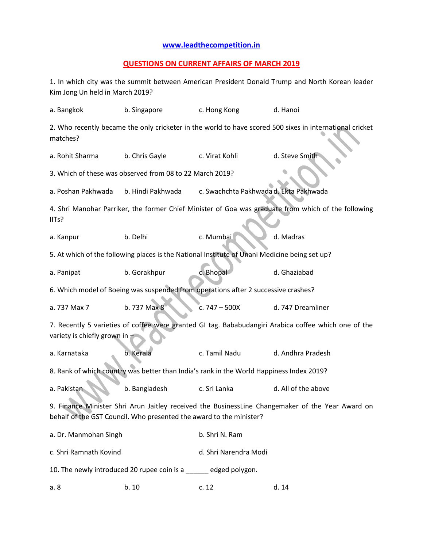## **[www.leadthecompetition.in](http://www.leadthecompetition.in/)**

## **QUESTIONS ON CURRENT AFFAIRS OF MARCH 2019**

1. In which city was the summit between American President Donald Trump and North Korean leader Kim Jong Un held in March 2019?

| a. Bangkok                                                                                                                                                              | b. Singapore      | c. Hong Kong                           | d. Hanoi            |  |  |  |  |
|-------------------------------------------------------------------------------------------------------------------------------------------------------------------------|-------------------|----------------------------------------|---------------------|--|--|--|--|
| 2. Who recently became the only cricketer in the world to have scored 500 sixes in international cricket<br>matches?                                                    |                   |                                        |                     |  |  |  |  |
| a. Rohit Sharma                                                                                                                                                         | b. Chris Gayle    | c. Virat Kohli                         | d. Steve Smith      |  |  |  |  |
| 3. Which of these was observed from 08 to 22 March 2019?                                                                                                                |                   |                                        |                     |  |  |  |  |
| a. Poshan Pakhwada                                                                                                                                                      | b. Hindi Pakhwada | c. Swachchta Pakhwada d. Ekta Pakhwada |                     |  |  |  |  |
| 4. Shri Manohar Parriker, the former Chief Minister of Goa was graduate from which of the following<br>IITs?                                                            |                   |                                        |                     |  |  |  |  |
| a. Kanpur                                                                                                                                                               | b. Delhi          | c. Mumbai                              | d. Madras           |  |  |  |  |
| 5. At which of the following places is the National Institute of Unani Medicine being set up?                                                                           |                   |                                        |                     |  |  |  |  |
| a. Panipat                                                                                                                                                              | b. Gorakhpur      | c. Bhopal                              | d. Ghaziabad        |  |  |  |  |
| 6. Which model of Boeing was suspended from operations after 2 successive crashes?                                                                                      |                   |                                        |                     |  |  |  |  |
| a. 737 Max 7                                                                                                                                                            | b. 737 Max 8      | c. $747 - 500X$                        | d. 747 Dreamliner   |  |  |  |  |
| 7. Recently 5 varieties of coffee were granted GI tag. Bababudangiri Arabica coffee which one of the<br>variety is chiefly grown in                                     |                   |                                        |                     |  |  |  |  |
| a. Karnataka                                                                                                                                                            | b. Kerala         | c. Tamil Nadu                          | d. Andhra Pradesh   |  |  |  |  |
| 8. Rank of which country was better than India's rank in the World Happiness Index 2019?                                                                                |                   |                                        |                     |  |  |  |  |
| a. Pakistan                                                                                                                                                             | b. Bangladesh     | c. Sri Lanka                           | d. All of the above |  |  |  |  |
| 9. Finance Minister Shri Arun Jaitley received the BusinessLine Changemaker of the Year Award on<br>behalf of the GST Council. Who presented the award to the minister? |                   |                                        |                     |  |  |  |  |
| a. Dr. Manmohan Singh                                                                                                                                                   |                   | b. Shri N. Ram                         |                     |  |  |  |  |
| c. Shri Ramnath Kovind                                                                                                                                                  |                   | d. Shri Narendra Modi                  |                     |  |  |  |  |
| 10. The newly introduced 20 rupee coin is a edged polygon.                                                                                                              |                   |                                        |                     |  |  |  |  |
| a. 8                                                                                                                                                                    | b. 10             | c. 12                                  | d. 14               |  |  |  |  |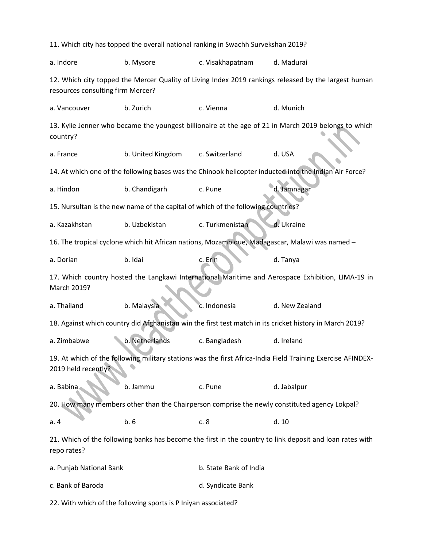11. Which city has topped the overall national ranking in Swachh Survekshan 2019? a. Indore b. Mysore c. Visakhapatnam d. Madurai 12. Which city topped the Mercer Quality of Living Index 2019 rankings released by the largest human resources consulting firm Mercer? a. Vancouver b. Zurich c. Vienna d. Munich 13. Kylie Jenner who became the youngest billionaire at the age of 21 in March 2019 belongs to which country? a. France b. United Kingdom c. Switzerland d. USA 14. At which one of the following bases was the Chinook helicopter inducted into the Indian Air Force? a. Hindon b. Chandigarh c. Pune d. Jamnagar 15. Nursultan is the new name of the capital of which of the following countries? a. Kazakhstan b. Uzbekistan c. Turkmenistan d. Ukraine 16. The tropical cyclone which hit African nations, Mozambique, Madagascar, Malawi was named – a. Dorian b. Idai c. Erin d. Tanya 17. Which country hosted the Langkawi International Maritime and Aerospace Exhibition, LIMA-19 in March 2019? a. Thailand b. Malaysia c. Indonesia d. New Zealand 18. Against which country did Afghanistan win the first test match in its cricket history in March 2019? a. Zimbabwe b. Netherlands c. Bangladesh d. Ireland 19. At which of the following military stations was the first Africa-India Field Training Exercise AFINDEX-2019 held recently? a. Babina b. Jammu c. Pune d. Jabalpur 20. How many members other than the Chairperson comprise the newly constituted agency Lokpal? a. 4 **b. 6** c. 8 d. 10 21. Which of the following banks has become the first in the country to link deposit and loan rates with repo rates? a. Punjab National Bank b. State Bank of India c. Bank of Baroda d. Syndicate Bank

22. With which of the following sports is P Iniyan associated?